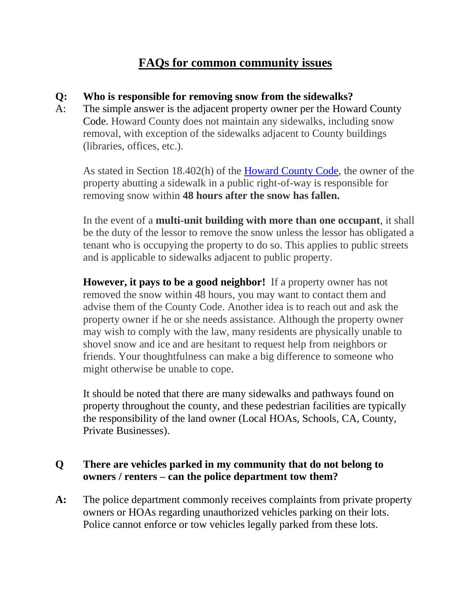# **FAQs for common community issues**

#### **Q: Who is responsible for removing snow from the sidewalks?**

A: The simple answer is the adjacent property owner per the Howard County Code. Howard County does not maintain any sidewalks, including snow removal, with exception of the sidewalks adjacent to County buildings (libraries, offices, etc.).

As stated in Section 18.402(h) of the [Howard County Code,](http://bit.ly/1A1y4eE) the owner of the property abutting a sidewalk in a public right-of-way is responsible for removing snow within **48 hours after the snow has fallen.**

In the event of a **multi-unit building with more than one occupant**, it shall be the duty of the lessor to remove the snow unless the lessor has obligated a tenant who is occupying the property to do so. This applies to public streets and is applicable to sidewalks adjacent to public property.

**However, it pays to be a good neighbor!** If a property owner has not removed the snow within 48 hours, you may want to contact them and advise them of the County Code. Another idea is to reach out and ask the property owner if he or she needs assistance. Although the property owner may wish to comply with the law, many residents are physically unable to shovel snow and ice and are hesitant to request help from neighbors or friends. Your thoughtfulness can make a big difference to someone who might otherwise be unable to cope.

It should be noted that there are many sidewalks and pathways found on property throughout the county, and these pedestrian facilities are typically the responsibility of the land owner (Local HOAs, Schools, CA, County, Private Businesses).

### **Q There are vehicles parked in my community that do not belong to owners / renters – can the police department tow them?**

**A:** The police department commonly receives complaints from private property owners or HOAs regarding unauthorized vehicles parking on their lots. Police cannot enforce or tow vehicles legally parked from these lots.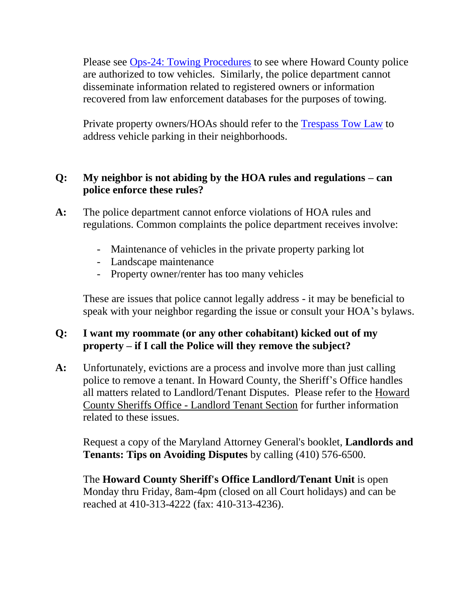Please see [Ops-24: Towing Procedures](https://www.howardcountymd.gov/LinkClick.aspx?fileticket=kk8terlN7Jc%3d&portalid=0) to see where Howard County police are authorized to tow vehicles. Similarly, the police department cannot disseminate information related to registered owners or information recovered from law enforcement databases for the purposes of towing.

Private property owners/HOAs should refer to the [Trespass Tow Law](https://www.howardcountymd.gov/LinkClick.aspx?fileticket=kk8terlN7Jc%3d&portalid=0) to address vehicle parking in their neighborhoods.

### **Q: My neighbor is not abiding by the HOA rules and regulations – can police enforce these rules?**

- **A:** The police department cannot enforce violations of HOA rules and regulations. Common complaints the police department receives involve:
	- Maintenance of vehicles in the private property parking lot
	- Landscape maintenance
	- Property owner/renter has too many vehicles

These are issues that police cannot legally address - it may be beneficial to speak with your neighbor regarding the issue or consult your HOA's bylaws.

## **Q: I want my roommate (or any other cohabitant) kicked out of my property – if I call the Police will they remove the subject?**

**A:** Unfortunately, evictions are a process and involve more than just calling police to remove a tenant. In Howard County, the Sheriff's Office handles all matters related to Landlord/Tenant Disputes. Please refer to the [Howard](https://www.howardcountymd.gov/Branches/Sheriffs-Office/Landlord-and-Tenant-Section)  County Sheriffs Office - [Landlord Tenant Section](https://www.howardcountymd.gov/Branches/Sheriffs-Office/Landlord-and-Tenant-Section) for further information related to these issues.

Request a copy of the Maryland Attorney General's booklet, **Landlords and Tenants: Tips on Avoiding Disputes** by calling (410) 576-6500.

The **Howard County Sheriff's Office Landlord/Tenant Unit** is open Monday thru Friday, 8am-4pm (closed on all Court holidays) and can be reached at 410-313-4222 (fax: 410-313-4236).